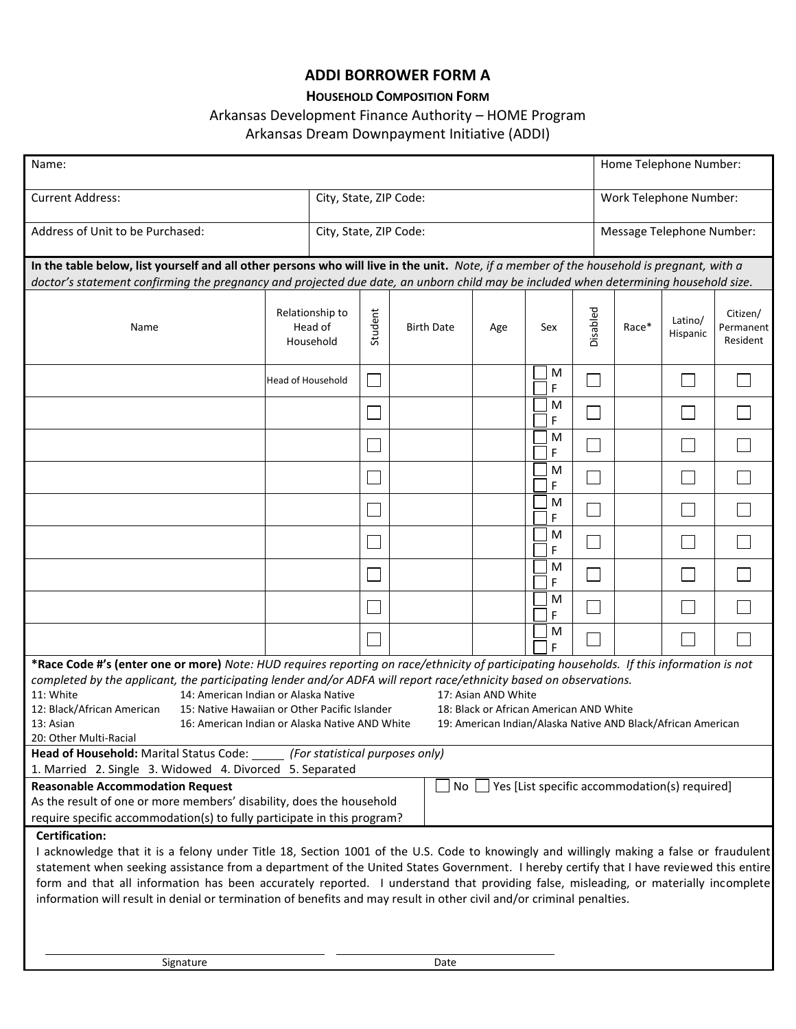## **ADDI BORROWER FORM A**

## **HOUSEHOLD COMPOSITION FORM**

## Arkansas Development Finance Authority – HOME Program

## Arkansas Dream Downpayment Initiative (ADDI)

| Name:                                                                                                                                                                                                                                                                             |                                         |                        |                   |     |        |          |                           | Home Telephone Number: |                                   |  |  |
|-----------------------------------------------------------------------------------------------------------------------------------------------------------------------------------------------------------------------------------------------------------------------------------|-----------------------------------------|------------------------|-------------------|-----|--------|----------|---------------------------|------------------------|-----------------------------------|--|--|
| <b>Current Address:</b>                                                                                                                                                                                                                                                           |                                         | City, State, ZIP Code: |                   |     |        |          | Work Telephone Number:    |                        |                                   |  |  |
| Address of Unit to be Purchased:                                                                                                                                                                                                                                                  |                                         | City, State, ZIP Code: |                   |     |        |          | Message Telephone Number: |                        |                                   |  |  |
|                                                                                                                                                                                                                                                                                   |                                         |                        |                   |     |        |          |                           |                        |                                   |  |  |
| In the table below, list yourself and all other persons who will live in the unit. Note, if a member of the household is pregnant, with a<br>doctor's statement confirming the pregnancy and projected due date, an unborn child may be included when determining household size. |                                         |                        |                   |     |        |          |                           |                        |                                   |  |  |
| Name                                                                                                                                                                                                                                                                              | Relationship to<br>Head of<br>Household | Student                | <b>Birth Date</b> | Age | Sex    | Disabled | Race*                     | Latino/<br>Hispanic    | Citizen/<br>Permanent<br>Resident |  |  |
|                                                                                                                                                                                                                                                                                   | Head of Household                       |                        |                   |     | M<br>F |          |                           |                        |                                   |  |  |
|                                                                                                                                                                                                                                                                                   |                                         |                        |                   |     | M<br>F |          |                           |                        |                                   |  |  |
|                                                                                                                                                                                                                                                                                   |                                         |                        |                   |     | M<br>F |          |                           |                        |                                   |  |  |
|                                                                                                                                                                                                                                                                                   |                                         |                        |                   |     | M<br>F |          |                           |                        |                                   |  |  |
|                                                                                                                                                                                                                                                                                   |                                         |                        |                   |     | M<br>F |          |                           |                        |                                   |  |  |
|                                                                                                                                                                                                                                                                                   |                                         |                        |                   |     | M<br>F |          |                           |                        |                                   |  |  |
|                                                                                                                                                                                                                                                                                   |                                         |                        |                   |     | M<br>F |          |                           |                        |                                   |  |  |
|                                                                                                                                                                                                                                                                                   |                                         |                        |                   |     | M<br>F |          |                           |                        |                                   |  |  |
|                                                                                                                                                                                                                                                                                   |                                         |                        |                   |     | M<br>F |          |                           |                        |                                   |  |  |
|                                                                                                                                                                                                                                                                                   |                                         |                        |                   |     |        |          |                           |                        |                                   |  |  |
| *Race Code #'s (enter one or more) Note: HUD requires reporting on race/ethnicity of participating households. If this information is not<br>completed by the applicant, the participating lender and/or ADFA will report race/ethnicity based on observations.                   |                                         |                        |                   |     |        |          |                           |                        |                                   |  |  |
|                                                                                                                                                                                                                                                                                   |                                         |                        |                   |     |        |          |                           |                        |                                   |  |  |
| 11: White<br>14: American Indian or Alaska Native<br>17: Asian AND White                                                                                                                                                                                                          |                                         |                        |                   |     |        |          |                           |                        |                                   |  |  |
| 15: Native Hawaiian or Other Pacific Islander<br>18: Black or African American AND White<br>12: Black/African American                                                                                                                                                            |                                         |                        |                   |     |        |          |                           |                        |                                   |  |  |
| 16: American Indian or Alaska Native AND White<br>19: American Indian/Alaska Native AND Black/African American<br>13: Asian                                                                                                                                                       |                                         |                        |                   |     |        |          |                           |                        |                                   |  |  |
| 20: Other Multi-Racial                                                                                                                                                                                                                                                            |                                         |                        |                   |     |        |          |                           |                        |                                   |  |  |
| Head of Household: Marital Status Code: [60] [For statistical purposes only]                                                                                                                                                                                                      |                                         |                        |                   |     |        |          |                           |                        |                                   |  |  |
| 1. Married 2. Single 3. Widowed 4. Divorced 5. Separated                                                                                                                                                                                                                          |                                         |                        |                   |     |        |          |                           |                        |                                   |  |  |
| <b>Reasonable Accommodation Request</b><br>Yes [List specific accommodation(s) required]<br>No                                                                                                                                                                                    |                                         |                        |                   |     |        |          |                           |                        |                                   |  |  |
| As the result of one or more members' disability, does the household                                                                                                                                                                                                              |                                         |                        |                   |     |        |          |                           |                        |                                   |  |  |
| require specific accommodation(s) to fully participate in this program?                                                                                                                                                                                                           |                                         |                        |                   |     |        |          |                           |                        |                                   |  |  |
| <b>Certification:</b>                                                                                                                                                                                                                                                             |                                         |                        |                   |     |        |          |                           |                        |                                   |  |  |
| I acknowledge that it is a felony under Title 18, Section 1001 of the U.S. Code to knowingly and willingly making a false or fraudulent                                                                                                                                           |                                         |                        |                   |     |        |          |                           |                        |                                   |  |  |
| statement when seeking assistance from a department of the United States Government. I hereby certify that I have reviewed this entire                                                                                                                                            |                                         |                        |                   |     |        |          |                           |                        |                                   |  |  |
| form and that all information has been accurately reported. I understand that providing false, misleading, or materially incomplete<br>information will result in denial or termination of benefits and may result in other civil and/or criminal penalties.                      |                                         |                        |                   |     |        |          |                           |                        |                                   |  |  |
|                                                                                                                                                                                                                                                                                   |                                         |                        |                   |     |        |          |                           |                        |                                   |  |  |
|                                                                                                                                                                                                                                                                                   |                                         |                        |                   |     |        |          |                           |                        |                                   |  |  |
|                                                                                                                                                                                                                                                                                   |                                         |                        |                   |     |        |          |                           |                        |                                   |  |  |
| Signature                                                                                                                                                                                                                                                                         |                                         |                        | Date              |     |        |          |                           |                        |                                   |  |  |